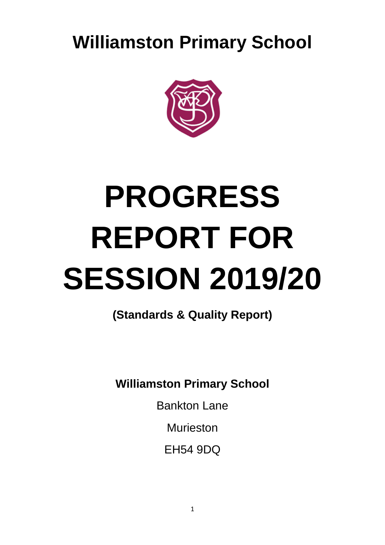**Williamston Primary School**



# **PROGRESS REPORT FOR SESSION 2019/20**

**(Standards & Quality Report)**

**Williamston Primary School**

Bankton Lane

Murieston

EH54 9DQ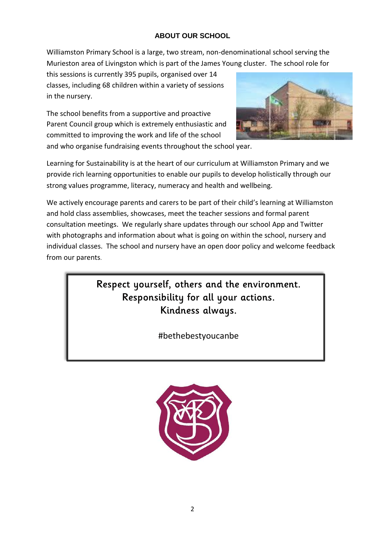# **ABOUT OUR SCHOOL**

Williamston Primary School is a large, two stream, non-denominational school serving the Murieston area of Livingston which is part of the James Young cluster. The school role for

this sessions is currently 395 pupils, organised over 14 classes, including 68 children within a variety of sessions in the nursery.

The school benefits from a supportive and proactive Parent Council group which is extremely enthusiastic and committed to improving the work and life of the school



and who organise fundraising events throughout the school year.

Learning for Sustainability is at the heart of our curriculum at Williamston Primary and we provide rich learning opportunities to enable our pupils to develop holistically through our strong values programme, literacy, numeracy and health and wellbeing.

We actively encourage parents and carers to be part of their child's learning at Williamston and hold class assemblies, showcases, meet the teacher sessions and formal parent consultation meetings. We regularly share updates through our school App and Twitter with photographs and information about what is going on within the school, nursery and individual classes. The school and nursery have an open door policy and welcome feedback from our parents.

> Respect yourself, others and the environment. Responsibility for all your actions. Kindness always.

> > #bethebestyoucanbe

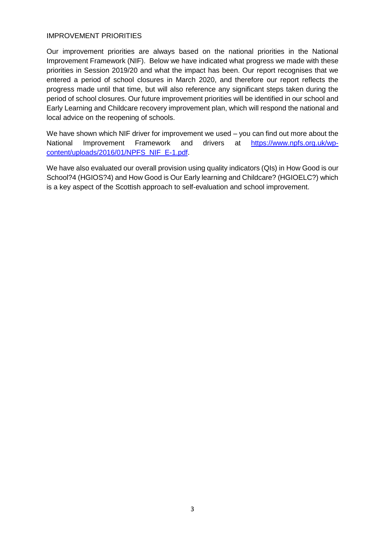### IMPROVEMENT PRIORITIES

Our improvement priorities are always based on the national priorities in the National Improvement Framework (NIF). Below we have indicated what progress we made with these priorities in Session 2019/20 and what the impact has been. Our report recognises that we entered a period of school closures in March 2020, and therefore our report reflects the progress made until that time, but will also reference any significant steps taken during the period of school closures. Our future improvement priorities will be identified in our school and Early Learning and Childcare recovery improvement plan, which will respond the national and local advice on the reopening of schools.

We have shown which NIF driver for improvement we used – you can find out more about the National Improvement Framework and drivers at [https://www.npfs.org.uk/wp](https://www.npfs.org.uk/wp-content/uploads/2016/01/NPFS_NIF_E-1.pdf)[content/uploads/2016/01/NPFS\\_NIF\\_E-1.pdf.](https://www.npfs.org.uk/wp-content/uploads/2016/01/NPFS_NIF_E-1.pdf)

We have also evaluated our overall provision using quality indicators (QIs) in How Good is our School?4 (HGIOS?4) and How Good is Our Early learning and Childcare? (HGIOELC?) which is a key aspect of the Scottish approach to self-evaluation and school improvement.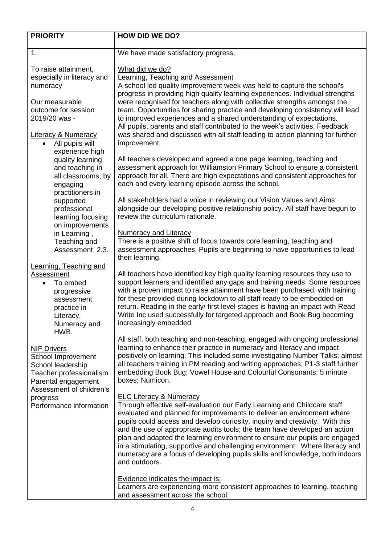| <b>PRIORITY</b>                                | <b>HOW DID WE DO?</b>                                                                                                                                           |  |
|------------------------------------------------|-----------------------------------------------------------------------------------------------------------------------------------------------------------------|--|
|                                                |                                                                                                                                                                 |  |
| 1.                                             | We have made satisfactory progress.                                                                                                                             |  |
| To raise attainment,                           | What did we do?                                                                                                                                                 |  |
| especially in literacy and                     | <b>Learning, Teaching and Assessment</b>                                                                                                                        |  |
| numeracy                                       | A school led quality improvement week was held to capture the school's                                                                                          |  |
|                                                | progress in providing high quality learning experiences. Individual strengths                                                                                   |  |
| Our measurable                                 | were recognised for teachers along with collective strengths amongst the                                                                                        |  |
| outcome for session                            | team. Opportunities for sharing practice and developing consistency will lead                                                                                   |  |
| 2019/20 was -                                  | to improved experiences and a shared understanding of expectations.                                                                                             |  |
|                                                | All pupils, parents and staff contributed to the week's activities. Feedback                                                                                    |  |
| <b>Literacy &amp; Numeracy</b>                 | was shared and discussed with all staff leading to action planning for further                                                                                  |  |
| • All pupils will                              | improvement.                                                                                                                                                    |  |
| experience high                                |                                                                                                                                                                 |  |
| quality learning                               | All teachers developed and agreed a one page learning, teaching and                                                                                             |  |
| and teaching in                                | assessment approach for Williamston Primary School to ensure a consistent                                                                                       |  |
| all classrooms, by                             | approach for all. There are high expectations and consistent approaches for                                                                                     |  |
| engaging<br>practitioners in                   | each and every learning episode across the school.                                                                                                              |  |
| supported                                      | All stakeholders had a voice in reviewing our Vision Values and Aims                                                                                            |  |
| professional                                   | alongside our developing positive relationship policy. All staff have begun to                                                                                  |  |
| learning focusing                              | review the curriculum rationale.                                                                                                                                |  |
| on improvements                                |                                                                                                                                                                 |  |
| in Learning,                                   | <b>Numeracy and Literacy</b>                                                                                                                                    |  |
| Teaching and                                   | There is a positive shift of focus towards core learning, teaching and                                                                                          |  |
| Assessment 2.3.                                | assessment approaches. Pupils are beginning to have opportunities to lead                                                                                       |  |
|                                                | their learning.                                                                                                                                                 |  |
| <b>Learning, Teaching and</b>                  |                                                                                                                                                                 |  |
| Assessment                                     | All teachers have identified key high quality learning resources they use to                                                                                    |  |
| To embed<br>$\bullet$                          | support learners and identified any gaps and training needs. Some resources<br>with a proven impact to raise attainment have been purchased, with training      |  |
| progressive<br>assessment                      | for these provided during lockdown to all staff ready to be embedded on                                                                                         |  |
| practice in                                    | return. Reading in the early/ first level stages is having an impact with Read                                                                                  |  |
| Literacy,                                      | Write Inc used successfully for targeted approach and Book Bug becoming                                                                                         |  |
| Numeracy and                                   | increasingly embedded.                                                                                                                                          |  |
| HWB.                                           |                                                                                                                                                                 |  |
|                                                | All staff, both teaching and non-teaching, engaged with ongoing professional                                                                                    |  |
| <b>NIF Drivers</b>                             | learning to enhance their practice in numeracy and literacy and impact                                                                                          |  |
| School Improvement                             | positively on learning. This included some investigating Number Talks; almost<br>all teachers training in PM reading and writing approaches; P1-3 staff further |  |
| School leadership                              | embedding Book Bug; Vowel House and Colourful Consonants; 5 minute                                                                                              |  |
| Teacher professionalism<br>Parental engagement | boxes; Numicon.                                                                                                                                                 |  |
| Assessment of children's                       |                                                                                                                                                                 |  |
| progress                                       | <b>ELC Literacy &amp; Numeracy</b>                                                                                                                              |  |
| Performance information                        | Through effective self-evaluation our Early Learning and Childcare staff                                                                                        |  |
|                                                | evaluated and planned for improvements to deliver an environment where                                                                                          |  |
|                                                | pupils could access and develop curiosity, inquiry and creativity. With this                                                                                    |  |
|                                                | and the use of appropriate audits tools; the team have developed an action                                                                                      |  |
|                                                | plan and adapted the learning environment to ensure our pupils are engaged                                                                                      |  |
|                                                | in a stimulating, supportive and challenging environment. Where literacy and                                                                                    |  |
|                                                | numeracy are a focus of developing pupils skills and knowledge, both indoors<br>and outdoors.                                                                   |  |
|                                                |                                                                                                                                                                 |  |
|                                                | <b>Evidence indicates the impact is:</b>                                                                                                                        |  |
|                                                | Learners are experiencing more consistent approaches to learning, teaching                                                                                      |  |
|                                                | and assessment across the school.                                                                                                                               |  |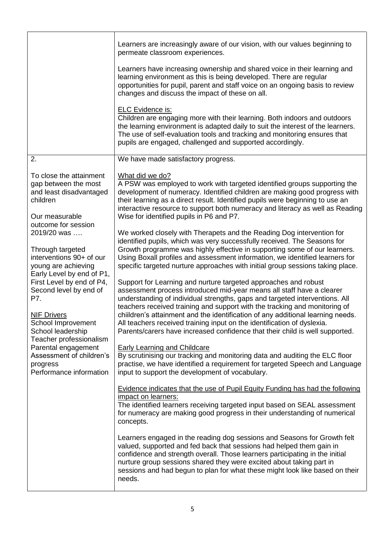|                                                                                                           | Learners are increasingly aware of our vision, with our values beginning to<br>permeate classroom experiences.                                                                                                                                                                                                                                                                                     |
|-----------------------------------------------------------------------------------------------------------|----------------------------------------------------------------------------------------------------------------------------------------------------------------------------------------------------------------------------------------------------------------------------------------------------------------------------------------------------------------------------------------------------|
|                                                                                                           | Learners have increasing ownership and shared voice in their learning and<br>learning environment as this is being developed. There are regular<br>opportunities for pupil, parent and staff voice on an ongoing basis to review<br>changes and discuss the impact of these on all.                                                                                                                |
|                                                                                                           | <b>ELC Evidence is:</b><br>Children are engaging more with their learning. Both indoors and outdoors<br>the learning environment is adapted daily to suit the interest of the learners.<br>The use of self-evaluation tools and tracking and monitoring ensures that<br>pupils are engaged, challenged and supported accordingly.                                                                  |
| 2.                                                                                                        | We have made satisfactory progress.                                                                                                                                                                                                                                                                                                                                                                |
| To close the attainment<br>gap between the most<br>and least disadvantaged<br>children<br>Our measurable  | What did we do?<br>A PSW was employed to work with targeted identified groups supporting the<br>development of numeracy. Identified children are making good progress with<br>their learning as a direct result. Identified pupils were beginning to use an<br>interactive resource to support both numeracy and literacy as well as Reading<br>Wise for identified pupils in P6 and P7.           |
| outcome for session<br>2019/20 was<br>Through targeted<br>interventions 90+ of our<br>young are achieving | We worked closely with Therapets and the Reading Dog intervention for<br>identified pupils, which was very successfully received. The Seasons for<br>Growth programme was highly effective in supporting some of our learners.<br>Using Boxall profiles and assessment information, we identified learners for<br>specific targeted nurture approaches with initial group sessions taking place.   |
| Early Level by end of P1,<br>First Level by end of P4,<br>Second level by end of<br>P7.                   | Support for Learning and nurture targeted approaches and robust<br>assessment process introduced mid-year means all staff have a clearer<br>understanding of individual strengths, gaps and targeted interventions. All<br>teachers received training and support with the tracking and monitoring of                                                                                              |
| <b>NIF Drivers</b><br>School Improvement<br>School leadership<br>Teacher professionalism                  | chiildren's attainment and the identification of any additional learning needs.<br>All teachers received training input on the identification of dyslexia.<br>Parents/carers have increased confidence that their child is well supported.                                                                                                                                                         |
| Parental engagement<br>Assessment of children's<br>progress<br>Performance information                    | <b>Early Learning and Childcare</b><br>By scrutinising our tracking and monitoring data and auditing the ELC floor<br>practise, we have identified a requirement for targeted Speech and Language<br>input to support the development of vocabulary.                                                                                                                                               |
|                                                                                                           | Evidence indicates that the use of Pupil Equity Funding has had the following<br>impact on learners:<br>The identified learners receiving targeted input based on SEAL assessment<br>for numeracy are making good progress in their understanding of numerical<br>concepts.                                                                                                                        |
|                                                                                                           | Learners engaged in the reading dog sessions and Seasons for Growth felt<br>valued, supported and fed back that sessions had helped them gain in<br>confidence and strength overall. Those learners participating in the initial<br>nurture group sessions shared they were excited about taking part in<br>sessions and had begun to plan for what these might look like based on their<br>needs. |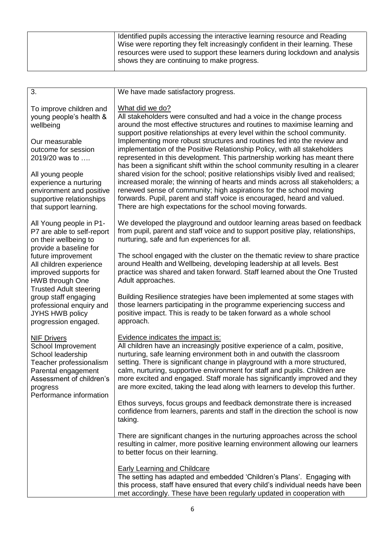| 3.                                                                                                                                                                                                                                                                                                                                           | We have made satisfactory progress.                                                                                                                                                                                                                                                                                                                                                                                                                                                                                   |  |
|----------------------------------------------------------------------------------------------------------------------------------------------------------------------------------------------------------------------------------------------------------------------------------------------------------------------------------------------|-----------------------------------------------------------------------------------------------------------------------------------------------------------------------------------------------------------------------------------------------------------------------------------------------------------------------------------------------------------------------------------------------------------------------------------------------------------------------------------------------------------------------|--|
| To improve children and<br>young people's health &<br>wellbeing                                                                                                                                                                                                                                                                              | What did we do?<br>All stakeholders were consulted and had a voice in the change process<br>around the most effective structures and routines to maximise learning and<br>support positive relationships at every level within the school community.                                                                                                                                                                                                                                                                  |  |
| Our measurable<br>outcome for session<br>2019/20 was to                                                                                                                                                                                                                                                                                      | Implementing more robust structures and routines fed into the review and<br>implementation of the Positive Relationship Policy, with all stakeholders<br>represented in this development. This partnership working has meant there<br>has been a significant shift within the school community resulting in a clearer                                                                                                                                                                                                 |  |
| All young people<br>experience a nurturing<br>environment and positive<br>supportive relationships<br>that support learning.                                                                                                                                                                                                                 | shared vision for the school; positive relationships visibly lived and realised;<br>increased morale; the winning of hearts and minds across all stakeholders; a<br>renewed sense of community; high aspirations for the school moving<br>forwards. Pupil, parent and staff voice is encouraged, heard and valued.<br>There are high expectations for the school moving forwards.                                                                                                                                     |  |
| All Young people in P1-<br>P7 are able to self-report<br>on their wellbeing to<br>provide a baseline for<br>future improvement<br>All children experience<br>improved supports for<br><b>HWB through One</b><br><b>Trusted Adult steering</b><br>group staff engaging<br>professional enquiry and<br>JYHS HWB policy<br>progression engaged. | We developed the playground and outdoor learning areas based on feedback<br>from pupil, parent and staff voice and to support positive play, relationships,<br>nurturing, safe and fun experiences for all.                                                                                                                                                                                                                                                                                                           |  |
|                                                                                                                                                                                                                                                                                                                                              | The school engaged with the cluster on the thematic review to share practice<br>around Health and Wellbeing, developing leadership at all levels. Best<br>practice was shared and taken forward. Staff learned about the One Trusted<br>Adult approaches.                                                                                                                                                                                                                                                             |  |
|                                                                                                                                                                                                                                                                                                                                              | Building Resilience strategies have been implemented at some stages with<br>those learners participating in the programme experiencing success and<br>positive impact. This is ready to be taken forward as a whole school<br>approach.                                                                                                                                                                                                                                                                               |  |
| <b>NIF Drivers</b><br>School Improvement<br>School leadership<br>Teacher professionalism<br>Parental engagement<br>Assessment of children's<br>progress<br>Performance information                                                                                                                                                           | Evidence indicates the impact is:<br>All children have an increasingly positive experience of a calm, positive,<br>nurturing, safe learning environment both in and outwith the classroom<br>setting. There is significant change in playground with a more structured,<br>calm, nurturing, supportive environment for staff and pupils. Children are<br>more excited and engaged. Staff morale has significantly improved and they<br>are more excited, taking the lead along with learners to develop this further. |  |
|                                                                                                                                                                                                                                                                                                                                              | Ethos surveys, focus groups and feedback demonstrate there is increased<br>confidence from learners, parents and staff in the direction the school is now<br>taking.                                                                                                                                                                                                                                                                                                                                                  |  |
|                                                                                                                                                                                                                                                                                                                                              | There are significant changes in the nurturing approaches across the school<br>resulting in calmer, more positive learning environment allowing our learners<br>to better focus on their learning.                                                                                                                                                                                                                                                                                                                    |  |
|                                                                                                                                                                                                                                                                                                                                              | <b>Early Learning and Childcare</b><br>The setting has adapted and embedded 'Children's Plans'. Engaging with<br>this process, staff have ensured that every child's individual needs have been<br>met accordingly. These have been regularly updated in cooperation with                                                                                                                                                                                                                                             |  |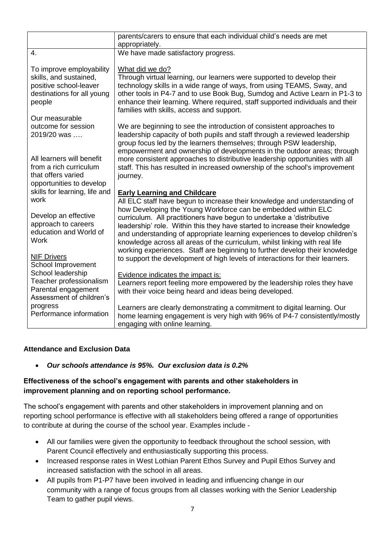|                                                                                                                      | parents/carers to ensure that each individual child's needs are met<br>appropriately.                                                                                                                                                                                                                                                                                               |
|----------------------------------------------------------------------------------------------------------------------|-------------------------------------------------------------------------------------------------------------------------------------------------------------------------------------------------------------------------------------------------------------------------------------------------------------------------------------------------------------------------------------|
| 4.                                                                                                                   | We have made satisfactory progress.                                                                                                                                                                                                                                                                                                                                                 |
| To improve employability<br>skills, and sustained,<br>positive school-leaver<br>destinations for all young<br>people | What did we do?<br>Through virtual learning, our learners were supported to develop their<br>technology skills in a wide range of ways, from using TEAMS, Sway, and<br>other tools in P4-7 and to use Book Bug, Sumdog and Active Learn in P1-3 to<br>enhance their learning. Where required, staff supported individuals and their<br>families with skills, access and support.    |
| Our measurable<br>outcome for session<br>2019/20 was                                                                 | We are beginning to see the introduction of consistent approaches to<br>leadership capacity of both pupils and staff through a reviewed leadership<br>group focus led by the learners themselves; through PSW leadership,<br>empowerment and ownership of developments in the outdoor areas; through                                                                                |
| All learners will benefit<br>from a rich curriculum<br>that offers varied<br>opportunities to develop                | more consistent approaches to distributive leadership opportunities with all<br>staff. This has resulted in increased ownership of the school's improvement<br>journey.                                                                                                                                                                                                             |
| skills for learning, life and<br>work                                                                                | <b>Early Learning and Childcare</b><br>All ELC staff have begun to increase their knowledge and understanding of                                                                                                                                                                                                                                                                    |
| Develop an effective<br>approach to careers<br>education and World of<br><b>Work</b>                                 | how Developing the Young Workforce can be embedded within ELC<br>curriculum. All practitioners have begun to undertake a 'distributive<br>leadership' role. Within this they have started to increase their knowledge<br>and understanding of appropriate learning experiences to develop children's<br>knowledge across all areas of the curriculum, whilst linking with real life |
| <b>NIF Drivers</b><br>School Improvement                                                                             | working experiences. Staff are beginning to further develop their knowledge<br>to support the development of high levels of interactions for their learners.                                                                                                                                                                                                                        |
| School leadership<br>Teacher professionalism<br>Parental engagement<br>Assessment of children's                      | Evidence indicates the impact is:<br>Learners report feeling more empowered by the leadership roles they have<br>with their voice being heard and ideas being developed.                                                                                                                                                                                                            |
| progress<br>Performance information                                                                                  | Learners are clearly demonstrating a commitment to digital learning. Our<br>home learning engagement is very high with 96% of P4-7 consistently/mostly<br>engaging with online learning.                                                                                                                                                                                            |

## **Attendance and Exclusion Data**

*Our schools attendance is 95%. Our exclusion data is 0.2%*

## **Effectiveness of the school's engagement with parents and other stakeholders in improvement planning and on reporting school performance.**

The school's engagement with parents and other stakeholders in improvement planning and on reporting school performance is effective with all stakeholders being offered a range of opportunities to contribute at during the course of the school year. Examples include -

- All our families were given the opportunity to feedback throughout the school session, with Parent Council effectively and enthusiastically supporting this process.
- Increased response rates in West Lothian Parent Ethos Survey and Pupil Ethos Survey and increased satisfaction with the school in all areas.
- All pupils from P1-P7 have been involved in leading and influencing change in our community with a range of focus groups from all classes working with the Senior Leadership Team to gather pupil views.